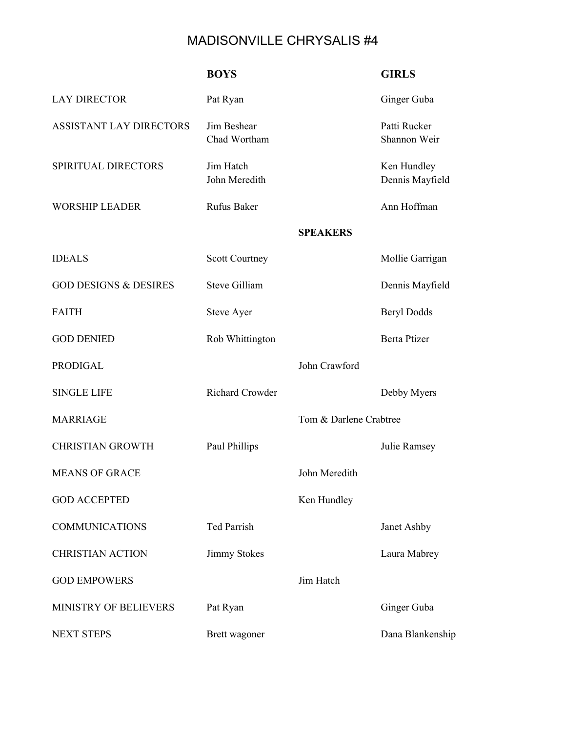## MADISONVILLE CHRYSALIS #4

|                                  | <b>BOYS</b>                 |                        | <b>GIRLS</b>                   |
|----------------------------------|-----------------------------|------------------------|--------------------------------|
| <b>LAY DIRECTOR</b>              | Pat Ryan                    |                        | Ginger Guba                    |
| <b>ASSISTANT LAY DIRECTORS</b>   | Jim Beshear<br>Chad Wortham |                        | Patti Rucker<br>Shannon Weir   |
| SPIRITUAL DIRECTORS              | Jim Hatch<br>John Meredith  |                        | Ken Hundley<br>Dennis Mayfield |
| <b>WORSHIP LEADER</b>            | Rufus Baker                 |                        | Ann Hoffman                    |
|                                  |                             | <b>SPEAKERS</b>        |                                |
| <b>IDEALS</b>                    | <b>Scott Courtney</b>       |                        | Mollie Garrigan                |
| <b>GOD DESIGNS &amp; DESIRES</b> | <b>Steve Gilliam</b>        |                        | Dennis Mayfield                |
| <b>FAITH</b>                     | <b>Steve Ayer</b>           |                        | <b>Beryl Dodds</b>             |
| <b>GOD DENIED</b>                | Rob Whittington             |                        | <b>Berta Ptizer</b>            |
| <b>PRODIGAL</b>                  |                             | John Crawford          |                                |
| <b>SINGLE LIFE</b>               | <b>Richard Crowder</b>      |                        | Debby Myers                    |
| <b>MARRIAGE</b>                  |                             | Tom & Darlene Crabtree |                                |
| <b>CHRISTIAN GROWTH</b>          | Paul Phillips               |                        | Julie Ramsey                   |
| <b>MEANS OF GRACE</b>            |                             | John Meredith          |                                |
| <b>GOD ACCEPTED</b>              |                             | Ken Hundley            |                                |
| <b>COMMUNICATIONS</b>            | Ted Parrish                 |                        | Janet Ashby                    |
| <b>CHRISTIAN ACTION</b>          | <b>Jimmy Stokes</b>         |                        | Laura Mabrey                   |
| <b>GOD EMPOWERS</b>              |                             | Jim Hatch              |                                |
| MINISTRY OF BELIEVERS            | Pat Ryan                    |                        | Ginger Guba                    |
| <b>NEXT STEPS</b>                | Brett wagoner               |                        | Dana Blankenship               |